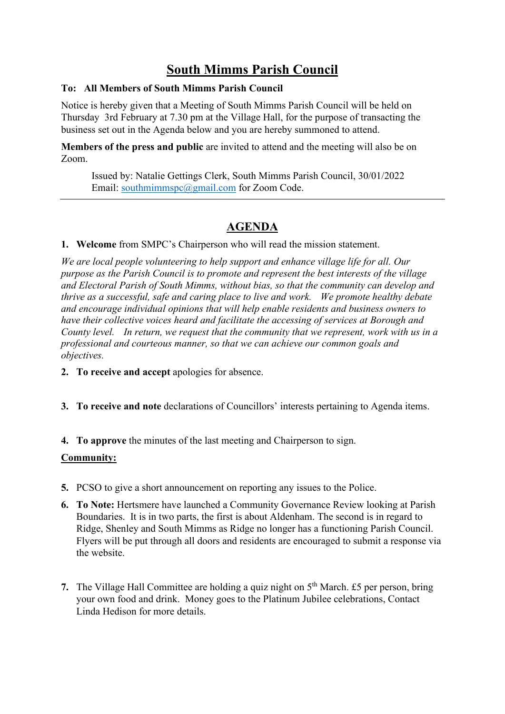# **South Mimms Parish Council**

# **To: All Members of South Mimms Parish Council**

Notice is hereby given that a Meeting of South Mimms Parish Council will be held on Thursday 3rd February at 7.30 pm at the Village Hall, for the purpose of transacting the business set out in the Agenda below and you are hereby summoned to attend.

**Members of the press and public** are invited to attend and the meeting will also be on Zoom.

Issued by: Natalie Gettings Clerk, South Mimms Parish Council, 30/01/2022 Email: [southmimmspc@gmail.com](mailto:southmimmspc@gmail.com) for Zoom Code.

# **AGENDA**

**1. Welcome** from SMPC's Chairperson who will read the mission statement.

*We are local people volunteering to help support and enhance village life for all. Our purpose as the Parish Council is to promote and represent the best interests of the village and Electoral Parish of South Mimms, without bias, so that the community can develop and thrive as a successful, safe and caring place to live and work.  We promote healthy debate and encourage individual opinions that will help enable residents and business owners to have their collective voices heard and facilitate the accessing of services at Borough and County level. In return, we request that the community that we represent, work with us in a professional and courteous manner, so that we can achieve our common goals and objectives.*

- **2. To receive and accept** apologies for absence.
- **3. To receive and note** declarations of Councillors' interests pertaining to Agenda items.
- **4. To approve** the minutes of the last meeting and Chairperson to sign.

# **Community:**

- **5.** PCSO to give a short announcement on reporting any issues to the Police.
- **6. To Note:** Hertsmere have launched a Community Governance Review looking at Parish Boundaries. It is in two parts, the first is about Aldenham. The second is in regard to Ridge, Shenley and South Mimms as Ridge no longer has a functioning Parish Council. Flyers will be put through all doors and residents are encouraged to submit a response via the website.
- **7.** The Village Hall Committee are holding a quiz night on 5<sup>th</sup> March. £5 per person, bring your own food and drink. Money goes to the Platinum Jubilee celebrations, Contact Linda Hedison for more details.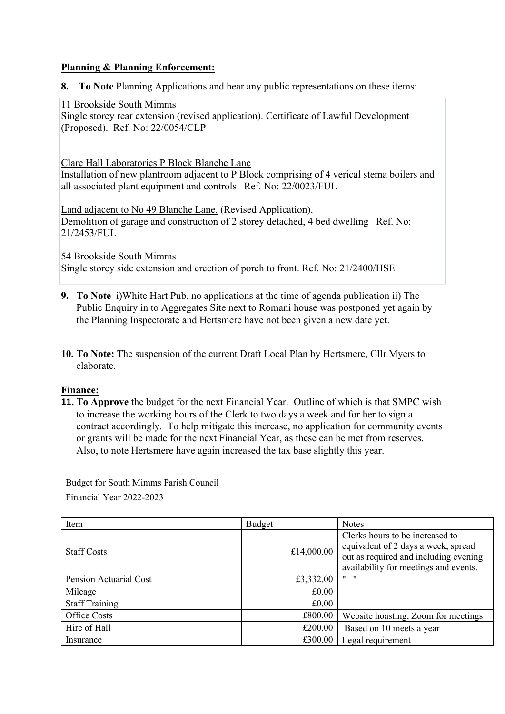#### **Planning & Planning Enforcement:**

**8. To Note** Planning Applications and hear any public representations on these items:

#### 11 Brookside South Mimms

[Single storey rear extension \(revised application\). Certificate of Lawful Development](https://www6.hertsmere.gov.uk/online-applications/applicationDetails.do?keyVal=R5L7USIFJ7Y00&activeTab=summary)  [\(Proposed\).](https://www6.hertsmere.gov.uk/online-applications/applicationDetails.do?keyVal=R5L7USIFJ7Y00&activeTab=summary) Ref. No: 22/0054/CLP

Clare Hall Laboratories P Block Blanche Lane

Installation of new plantroom adjacent to P Block comprising of 4 verical stema boilers and all associated plant equipment and controls Ref. No: 22/0023/FUL

Land adjacent to No 49 Blanche Lane. (Revised Application). Demolition of garage and construction of 2 storey detached, 4 bed dwelling Ref. No: 21/2453/FUL

54 Brookside South Mimms

Single storey side extension and erection of porch to front. Ref. No: 21/2400/HSE

- **9. To Note** i)White Hart Pub, no applications at the time of agenda publication ii) The Public Enquiry in to Aggregates Site next to Romani house was postponed yet again by the Planning Inspectorate and Hertsmere have not been given a new date yet.
- **10. To Note:** The suspension of the current Draft Local Plan by Hertsmere, Cllr Myers to elaborate.

# **Finance:**

**11. To Approve** the budget for the next Financial Year. Outline of which is that SMPC wish to increase the working hours of the Clerk to two days a week and for her to sign a contract accordingly. To help mitigate this increase, no application for community events or grants will be made for the next Financial Year, as these can be met from reserves. Also, to note Hertsmere have again increased the tax base slightly this year.

Budget for South Mimms Parish Council

Financial Year 2022-2023

| Item                   | Budget     | <b>Notes</b>                                                                                                                                             |
|------------------------|------------|----------------------------------------------------------------------------------------------------------------------------------------------------------|
| <b>Staff Costs</b>     | £14,000.00 | Clerks hours to be increased to<br>equivalent of 2 days a week, spread<br>out as required and including evening<br>availability for meetings and events. |
| Pension Actuarial Cost | £3,332.00  | $\mathbf{H}$ $\mathbf{H}$                                                                                                                                |
| Mileage                | £0.00      |                                                                                                                                                          |
| <b>Staff Training</b>  | £0.00      |                                                                                                                                                          |
| Office Costs           | £800.00    | Website hoasting, Zoom for meetings                                                                                                                      |
| Hire of Hall           | £200.00    | Based on 10 meets a year                                                                                                                                 |
| Insurance              | £300.00    | Legal requirement                                                                                                                                        |